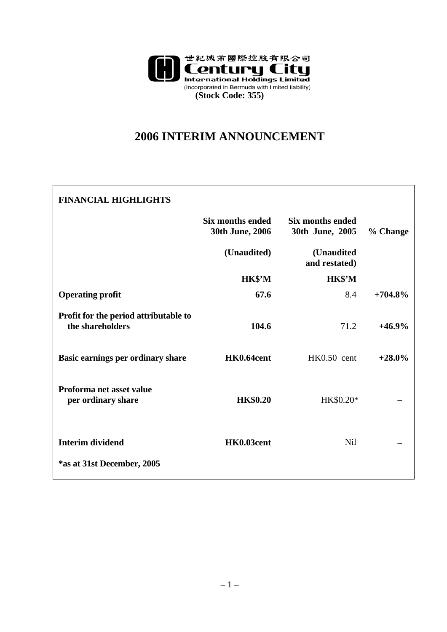

## **2006 INTERIM ANNOUNCEMENT**

| <b>FINANCIAL HIGHLIGHTS</b>                               |                                     |                                     |           |
|-----------------------------------------------------------|-------------------------------------|-------------------------------------|-----------|
|                                                           | Six months ended<br>30th June, 2006 | Six months ended<br>30th June, 2005 | % Change  |
|                                                           | (Unaudited)                         | (Unaudited<br>and restated)         |           |
|                                                           | HK\$'M                              | HK\$'M                              |           |
| <b>Operating profit</b>                                   | 67.6                                | 8.4                                 | $+704.8%$ |
| Profit for the period attributable to<br>the shareholders | 104.6                               | 71.2                                | $+46.9%$  |
| Basic earnings per ordinary share                         | HK0.64cent                          | $HK0.50$ cent                       | $+28.0\%$ |
| Proforma net asset value<br>per ordinary share            | <b>HK\$0.20</b>                     | HK\$0.20*                           |           |
| <b>Interim dividend</b>                                   | HK0.03cent                          | <b>Nil</b>                          |           |
| *as at 31st December, 2005                                |                                     |                                     |           |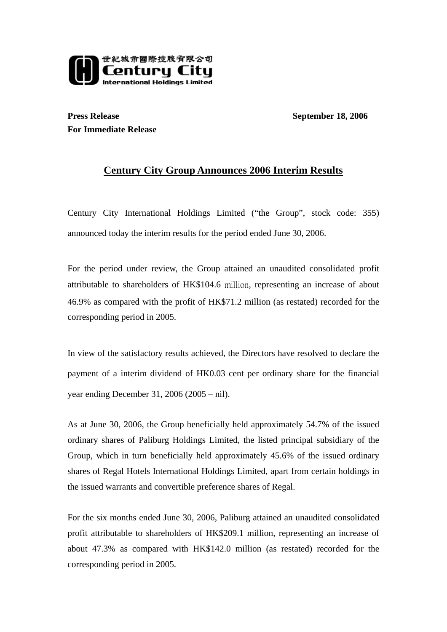

**Press Release** September 18, 2006 **For Immediate Release** 

## **Century City Group Announces 2006 Interim Results**

Century City International Holdings Limited ("the Group", stock code: 355) announced today the interim results for the period ended June 30, 2006.

For the period under review, the Group attained an unaudited consolidated profit attributable to shareholders of HK\$104.6 million, representing an increase of about 46.9% as compared with the profit of HK\$71.2 million (as restated) recorded for the corresponding period in 2005.

In view of the satisfactory results achieved, the Directors have resolved to declare the payment of a interim dividend of HK0.03 cent per ordinary share for the financial year ending December 31, 2006 (2005 – nil).

As at June 30, 2006, the Group beneficially held approximately 54.7% of the issued ordinary shares of Paliburg Holdings Limited, the listed principal subsidiary of the Group, which in turn beneficially held approximately 45.6% of the issued ordinary shares of Regal Hotels International Holdings Limited, apart from certain holdings in the issued warrants and convertible preference shares of Regal.

For the six months ended June 30, 2006, Paliburg attained an unaudited consolidated profit attributable to shareholders of HK\$209.1 million, representing an increase of about 47.3% as compared with HK\$142.0 million (as restated) recorded for the corresponding period in 2005.